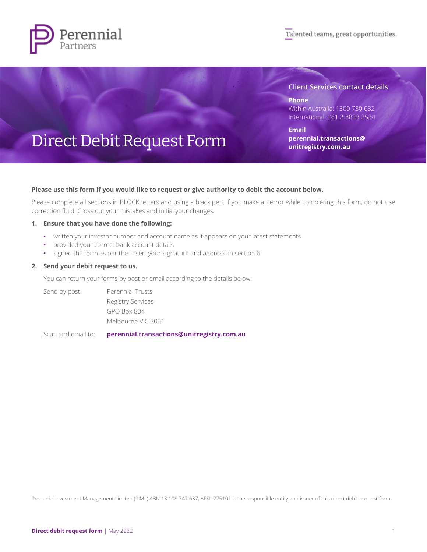

#### **Client Services contact details**

**Phone** Within Australia: 1300 730 032 International: +61 2 8823 2534

**Email [perennial.transactions@](mailto:perennial.transactions@unitregistry.com.au) [unitregistry.com.au](mailto:perennial.transactions@unitregistry.com.au)**

# Direct Debit Request Form

#### **Please use this form if you would like to request or give authority to debit the account below.**

Please complete all sections in BLOCK letters and using a black pen. If you make an error while completing this form, do not use correction fluid. Cross out your mistakes and initial your changes.

#### **1. Ensure that you have done the following:**

- written your investor number and account name as it appears on your latest statements
- provided your correct bank account details
- signed the form as per the 'Insert your signature and address' in section 6.

#### **2. Send your debit request to us.**

You can return your forms by post or email according to the details below:

Send by post: Perennial Trusts Registry Services GPO Box 804 Melbourne VIC 3001

Scan and email to: **[perennial.transactions@unitregistry.com.au](mailto:perennial.transactions@unitregistry.com.au)**

Perennial Investment Management Limited (PIML) ABN 13 108 747 637, AFSL 275101 is the responsible entity and issuer of this direct debit request form.